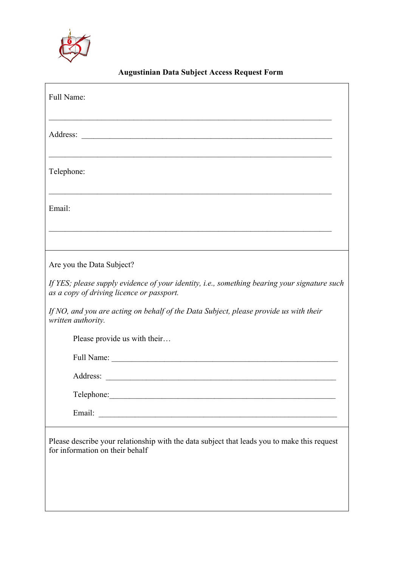

## **Augustinian Data Subject Access Request Form**

| Full Name:                                                                                                                                |
|-------------------------------------------------------------------------------------------------------------------------------------------|
|                                                                                                                                           |
| Telephone:                                                                                                                                |
| Email:                                                                                                                                    |
|                                                                                                                                           |
| Are you the Data Subject?                                                                                                                 |
| If YES; please supply evidence of your identity, i.e., something bearing your signature such<br>as a copy of driving licence or passport. |
| If NO, and you are acting on behalf of the Data Subject, please provide us with their<br>written authority.                               |
| Please provide us with their                                                                                                              |
|                                                                                                                                           |
|                                                                                                                                           |
| Telephone:                                                                                                                                |
|                                                                                                                                           |
| Please describe your relationship with the data subject that leads you to make this request<br>for information on their behalf            |
|                                                                                                                                           |
|                                                                                                                                           |
|                                                                                                                                           |